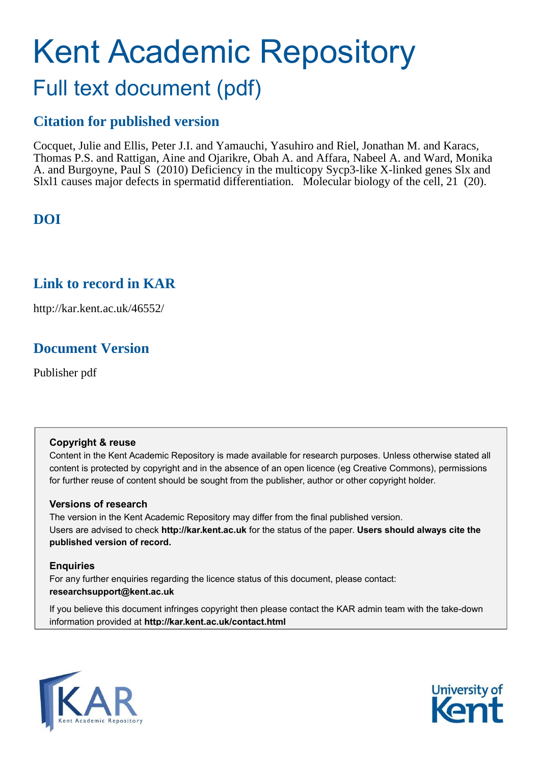# Kent Academic Repository Full text document (pdf)

## **Citation for published version**

Cocquet, Julie and Ellis, Peter J.I. and Yamauchi, Yasuhiro and Riel, Jonathan M. and Karacs, Thomas P.S. and Rattigan, Aine and Ojarikre, Obah A. and Affara, Nabeel A. and Ward, Monika A. and Burgoyne, Paul S (2010) Deficiency in the multicopy Sycp3-like X-linked genes Slx and Slxl1 causes major defects in spermatid differentiation. Molecular biology of the cell, 21 (20).

## **DOI**

## **Link to record in KAR**

http://kar.kent.ac.uk/46552/

## **Document Version**

Publisher pdf

### **Copyright & reuse**

Content in the Kent Academic Repository is made available for research purposes. Unless otherwise stated all content is protected by copyright and in the absence of an open licence (eg Creative Commons), permissions for further reuse of content should be sought from the publisher, author or other copyright holder.

### **Versions of research**

The version in the Kent Academic Repository may differ from the final published version. Users are advised to check **http://kar.kent.ac.uk** for the status of the paper. **Users should always cite the published version of record.**

### **Enquiries**

For any further enquiries regarding the licence status of this document, please contact: **researchsupport@kent.ac.uk**

If you believe this document infringes copyright then please contact the KAR admin team with the take-down information provided at **http://kar.kent.ac.uk/contact.html**



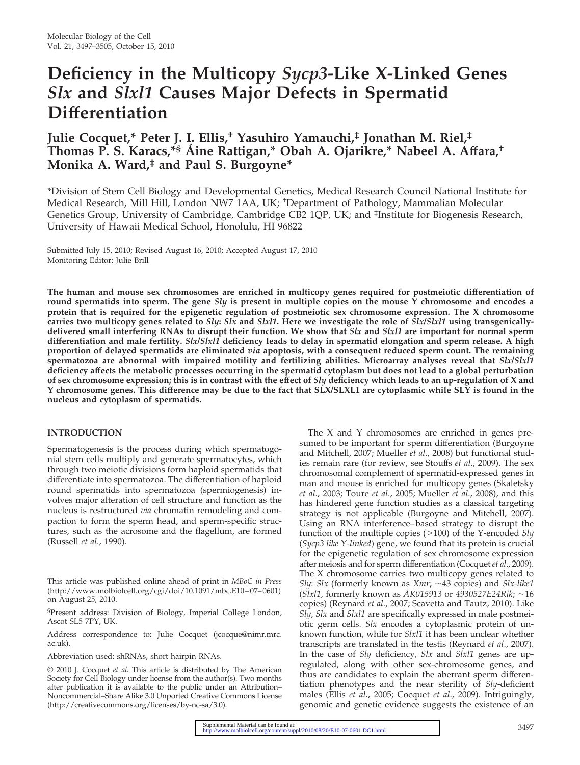## **Deficiency in the Multicopy** *Sycp3***-Like X-Linked Genes** *Slx* **and** *Slxl1* **Causes Major Defects in Spermatid Differentiation**

## **Julie Cocquet,\* Peter J. I. Ellis,† Yasuhiro Yamauchi,‡ Jonathan M. Riel,‡ Thomas P. S. Karacs,\*§ A´ ine Rattigan,\* Obah A. Ojarikre,\* Nabeel A. Affara,† Monika A. Ward,‡ and Paul S. Burgoyne\***

\*Division of Stem Cell Biology and Developmental Genetics, Medical Research Council National Institute for Medical Research, Mill Hill, London NW7 1AA, UK; †Department of Pathology, Mammalian Molecular Genetics Group, University of Cambridge, Cambridge CB2 1QP, UK; and <sup>‡</sup>Institute for Biogenesis Research, University of Hawaii Medical School, Honolulu, HI 96822

Submitted July 15, 2010; Revised August 16, 2010; Accepted August 17, 2010 Monitoring Editor: Julie Brill

**The human and mouse sex chromosomes are enriched in multicopy genes required for postmeiotic differentiation of round spermatids into sperm. The gene** *Sly* **is present in multiple copies on the mouse Y chromosome and encodes a protein that is required for the epigenetic regulation of postmeiotic sex chromosome expression. The X chromosome carries two multicopy genes related to** *Sly***:** *Slx* **and** *Slxl1***. Here we investigate the role of** *Slx/Slxl1* **using transgenicallydelivered small interfering RNAs to disrupt their function. We show that** *Slx* **and** *Slxl1* **are important for normal sperm differentiation and male fertility.** *Slx/Slxl1* **deficiency leads to delay in spermatid elongation and sperm release. A high proportion of delayed spermatids are eliminated** *via* **apoptosis, with a consequent reduced sperm count. The remaining spermatozoa are abnormal with impaired motility and fertilizing abilities. Microarray analyses reveal that** *Slx/Slxl1* **deficiency affects the metabolic processes occurring in the spermatid cytoplasm but does not lead to a global perturbation of sex chromosome expression; this is in contrast with the effect of** *Sly* **deficiency which leads to an up-regulation of X and Y chromosome genes. This difference may be due to the fact that SLX/SLXL1 are cytoplasmic while SLY is found in the nucleus and cytoplasm of spermatids.**

#### **INTRODUCTION**

Spermatogenesis is the process during which spermatogonial stem cells multiply and generate spermatocytes, which through two meiotic divisions form haploid spermatids that differentiate into spermatozoa. The differentiation of haploid round spermatids into spermatozoa (spermiogenesis) involves major alteration of cell structure and function as the nucleus is restructured *via* chromatin remodeling and compaction to form the sperm head, and sperm-specific structures, such as the acrosome and the flagellum, are formed (Russell *et al*., 1990).

§Present address: Division of Biology, Imperial College London, Ascot SL5 7PY, UK.

Address correspondence to: Julie Cocquet (jcocque@nimr.mrc. ac.uk).

Abbreviation used: shRNAs, short hairpin RNAs.

© 2010 J. Cocquet *et al.* This article is distributed by The American Society for Cell Biology under license from the author(s). Two months after publication it is available to the public under an Attribution– Noncommercial–Share Alike 3.0 Unported Creative Commons License (http://creativecommons.org/licenses/by-nc-sa/3.0).

The X and Y chromosomes are enriched in genes presumed to be important for sperm differentiation (Burgoyne and Mitchell, 2007; Mueller *et al*., 2008) but functional studies remain rare (for review, see Stouffs *et al*., 2009). The sex chromosomal complement of spermatid-expressed genes in man and mouse is enriched for multicopy genes (Skaletsky *et al*., 2003; Toure *et al*., 2005; Mueller *et al*., 2008), and this has hindered gene function studies as a classical targeting strategy is not applicable (Burgoyne and Mitchell, 2007). Using an RNA interference– based strategy to disrupt the function of the multiple copies (>100) of the Y-encoded *Sly* (*Sycp3 like Y-linked*) gene, we found that its protein is crucial for the epigenetic regulation of sex chromosome expression after meiosis and for sperm differentiation (Cocquet*et al*., 2009). The X chromosome carries two multicopy genes related to *Sly*: *Slx* (formerly known as *Xmr*;  $\sim$  43 copies) and *Slx-like1* (*Slxl1*, formerly known as *AK015913* or *4930527E24Rik*; -16 copies) (Reynard *et al*., 2007; Scavetta and Tautz, 2010). Like *Sly*, *Slx* and *Slxl1* are specifically expressed in male postmeiotic germ cells. *Slx* encodes a cytoplasmic protein of unknown function, while for *Slxl1* it has been unclear whether transcripts are translated in the testis (Reynard *et al*., 2007). In the case of *Sly* deficiency, *Slx* and *Slxl1* genes are upregulated, along with other sex-chromosome genes, and thus are candidates to explain the aberrant sperm differentiation phenotypes and the near sterility of *Sly*-deficient males (Ellis *et al*., 2005; Cocquet *et al*., 2009). Intriguingly, genomic and genetic evidence suggests the existence of an

This article was published online ahead of print in *MBoC in Press* (http://www.molbiolcell.org/cgi/doi/10.1091/mbc.E10-07-0601) on August 25, 2010.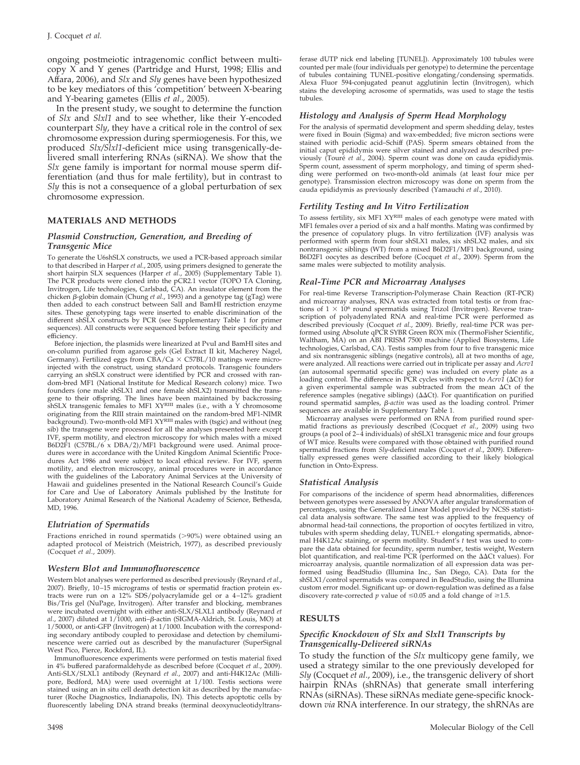ongoing postmeiotic intragenomic conflict between multicopy  $X$  and Y genes (Partridge and Hurst, 1998; Ellis and Affara, 2006), and *Slx* and *Sly* genes have been hypothesized to be key mediators of this 'competition' between X-bearing and Y-bearing gametes (Ellis *et al*., 2005).

In the present study, we sought to determine the function of *Slx* and *Slxl1* and to see whether, like their Y-encoded counterpart *Sly*, they have a critical role in the control of sex chromosome expression during spermiogenesis. For this, we produced *Slx/Slxl1*-deficient mice using transgenically-delivered small interfering RNAs (siRNA). We show that the *Slx* gene family is important for normal mouse sperm differentiation (and thus for male fertility), but in contrast to *Sly* this is not a consequence of a global perturbation of sex chromosome expression.

#### **MATERIALS AND METHODS**

#### *Plasmid Construction, Generation, and Breeding of Transgenic Mice*

To generate the U6shSLX constructs, we used a PCR-based approach similar to that described in Harper *et al*., 2005, using primers designed to generate the short hairpin SLX sequences (Harper *et al*., 2005) (Supplementary Table 1). The PCR products were cloned into the pCR2.1 vector (TOPO TA Cloning, Invitrogen, Life technologies, Carlsbad, CA). An insulator element from the chicken β-globin domain (Chung *et al.*, 1993) and a genotype tag (gTag) were then added to each construct between SalI and BamHI restriction enzyme sites. These genotyping tags were inserted to enable discrimination of the different shSLX constructs by PCR (see Supplementary Table 1 for primer sequences). All constructs were sequenced before testing their specificity and efficiency.

Before injection, the plasmids were linearized at PvuI and BamHI sites and on-column purified from agarose gels (Gel Extract II kit, Macherey Nagel, Germany). Fertilized eggs from CBA/Ca C57BL/10 matings were microinjected with the construct, using standard protocols. Transgenic founders carrying an shSLX construct were identified by PCR and crossed with random-bred MF1 (National Institute for Medical Research colony) mice. Two founders (one male shSLX1 and one female shSLX2) transmitted the transgene to their offspring. The lines have been maintained by backcrossing<br>shSLX transgenic females to MF1 XY<sup>RIII</sup> males (i.e., with a Y chromosome originating from the RIII strain maintained on the random-bred MF1-NIMR<br>background). Two-month-old MF1 XY<sup>RIII</sup> males with (tsgic) and without (neg sib) the transgene were processed for all the analyses presented here except IVF, sperm motility, and electron microscopy for which males with a mixed B6D2F1 (C57BL/6 x DBA/2)/MF1 background were used. Animal procedures were in accordance with the United Kingdom Animal Scientific Procedures Act 1986 and were subject to local ethical review. For IVF, sperm motility, and electron microscopy, animal procedures were in accordance with the guidelines of the Laboratory Animal Services at the University of Hawaii and guidelines presented in the National Research Council's Guide for Care and Use of Laboratory Animals published by the Institute for Laboratory Animal Research of the National Academy of Science, Bethesda, MD, 1996.

#### *Elutriation of Spermatids*

Fractions enriched in round spermatids (>90%) were obtained using an adapted protocol of Meistrich (Meistrich, 1977), as described previously (Cocquet *et al*., 2009).

#### *Western Blot and Immunofluorescence*

Western blot analyses were performed as described previously (Reynard *et al*., 2007). Briefly, 10 –15 micrograms of testis or spermatid fraction protein extracts were run on a 12% SDS/polyacrylamide gel or a 4 –12% gradient Bis/Tris gel (NuPage, Invitrogen). After transfer and blocking, membranes were incubated overnight with either anti-SLX/SLXL1 antibody (Reynard *et* al., 2007) diluted at 1/1000, anti- $\beta$ -actin (SIGMA-Aldrich, St. Louis, MO) at 1/50000, or anti-GFP (Invitrogen) at 1/1000. Incubation with the corresponding secondary antibody coupled to peroxidase and detection by chemiluminescence were carried out as described by the manufacturer (SuperSignal West Pico, Pierce, Rockford, IL).

Immunofluorescence experiments were performed on testis material fixed in 4% buffered paraformaldehyde as described before (Cocquet *et al*., 2009). Anti-SLX/SLXL1 antibody (Reynard *et al*., 2007) and anti-H4K12Ac (Millipore, Bedford, MA) were used overnight at 1/100. Testis sections were stained using an in situ cell death detection kit as described by the manufacturer (Roche Diagnostics, Indianapolis, IN). This detects apoptotic cells by fluorescently labeling DNA strand breaks (terminal deoxynucleotidyltransferase dUTP nick end labeling [TUNEL]). Approximately 100 tubules were counted per male (four individuals per genotype) to determine the percentage of tubules containing TUNEL-positive elongating/condensing spermatids. Alexa Fluor 594-conjugated peanut agglutinin lectin (Invitrogen), which stains the developing acrosome of spermatids, was used to stage the testis tubules.

#### *Histology and Analysis of Sperm Head Morphology*

For the analysis of spermatid development and sperm shedding delay, testes were fixed in Bouin (Sigma) and wax-embedded; five micron sections were stained with periodic acid–Schiff (PAS). Sperm smears obtained from the initial caput epididymis were silver stained and analyzed as described previously (Touré et al., 2004). Sperm count was done on cauda epididymis. Sperm count, assessment of sperm morphology, and timing of sperm shedding were performed on two-month-old animals (at least four mice per genotype). Transmission electron microscopy was done on sperm from the cauda epididymis as previously described (Yamauchi *et al*., 2010).

#### *Fertility Testing and In Vitro Fertilization*

To assess fertility, six MF1 XYRIII males of each genotype were mated with MF1 females over a period of six and a half months. Mating was confirmed by the presence of copulatory plugs. In vitro fertilization (IVF) analysis was performed with sperm from four shSLX1 males, six shSLX2 males, and six nontransgenic siblings (WT) from a mixed B6D2F1/MF1 background, using B6D2F1 oocytes as described before (Cocquet *et al*., 2009). Sperm from the same males were subjected to motility analysis.

#### *Real-Time PCR and Microarray Analyses*

For real-time Reverse Transcription-Polymerase Chain Reaction (RT-PCR) and microarray analyses, RNA was extracted from total testis or from fractions of  $1 \times 10^6$  round spermatids using Trizol (Invitrogen). Reverse transcription of polyadenylated RNA and real-time PCR were performed as described previously (Cocquet *et al*., 2009). Briefly, real-time PCR was performed using Absolute qPCR SYBR Green ROX mix (ThermoFisher Scientific, Waltham, MA) on an ABI PRISM 7500 machine (Applied Biosystems, Life technologies, Carlsbad, CA). Testis samples from four to five transgenic mice and six nontransgenic siblings (negative controls), all at two months of age, were analyzed. All reactions were carried out in triplicate per assay and *Acrv1* (an autosomal spermatid specific gene) was included on every plate as a loading control. The difference in PCR cycles with respect to  $Acrv1$  ( $\Delta$ Ct) for a given experimental sample was subtracted from the mean  $\Delta C$ t of the reference samples (negative siblings) ( $\Delta\Delta$ Ct). For quantification on purified round spermatid samples, *β-actin* was used as the loading control. Primer sequences are available in Supplementary Table 1.

Microarray analyses were performed on RNA from purified round sper-matid fractions as previously described (Cocquet *et al*., 2009) using two groups (a pool of 2– 4 individuals) of shSLX1 transgenic mice and four groups of WT mice. Results were compared with those obtained with purified round spermatid fractions from *Sly*-deficient males (Cocquet *et al*., 2009). Differentially expressed genes were classified according to their likely biological function in Onto-Express.

#### *Statistical Analysis*

For comparisons of the incidence of sperm head abnormalities, differences between genotypes were assessed by ANOVA after angular transformation of percentages, using the Generalized Linear Model provided by NCSS statistical data analysis software. The same test was applied to the frequency of abnormal head-tail connections, the proportion of oocytes fertilized in vitro, tubules with sperm shedding delay, TUNEL + elongating spermatids, abnormal H4K12Ac staining, or sperm motility. Student's *t* test was used to compare the data obtained for fecundity, sperm number, testis weight, Western blot quantification, and real-time PCR (performed on the  $\Delta\Delta C$ t values). For microarray analysis, quantile normalization of all expression data was performed using BeadStudio (Illumina Inc., San Diego, CA). Data for the shSLX1/control spermatids was compared in BeadStudio, using the Illumina custom error model. Significant up- or down-regulation was defined as a false discovery rate-corrected *p* value of  $\leq 0.05$  and a fold change of  $\geq 1.5$ .

#### **RESULTS**

#### *Specific Knockdown of Slx and Slxl1 Transcripts by Transgenically-Delivered siRNAs*

To study the function of the *Slx* multicopy gene family, we used a strategy similar to the one previously developed for *Sly* (Cocquet *et al*., 2009), i.e., the transgenic delivery of short hairpin RNAs (shRNAs) that generate small interfering RNAs (siRNAs). These siRNAs mediate gene-specific knockdown *via* RNA interference. In our strategy, the shRNAs are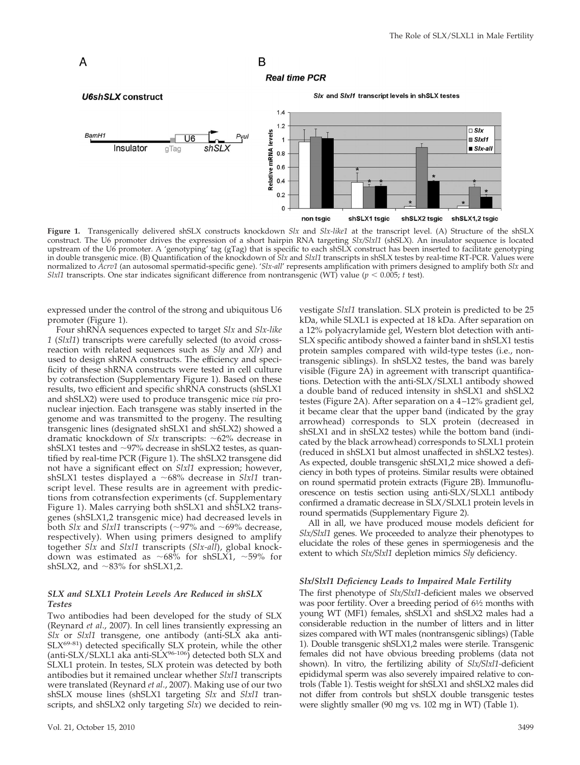#### **Real time PCR** Six and Sixi1 transcript levels in shSLX testes **U6shSLX** construct  $1.4$  $1.2$  $\Box$  SIx Relative mRNA levels BamH1  $\mathbf{1}$  $Six11$ Insulator  $S/x$ -all gTag  $0.8\,$  $0.6$  $0.4$  $0.2$ 0 non tsgic shSLX1 tsgic shSLX2 tsgic shSLX1,2 tsgic

B

**Figure 1.** Transgenically delivered shSLX constructs knockdown *Slx* and *Slx-like1* at the transcript level. (A) Structure of the shSLX construct. The U6 promoter drives the expression of a short hairpin RNA targeting *Slx/Slxl1* (shSLX). An insulator sequence is located upstream of the U6 promoter. A 'genotyping' tag (gTag) that is specific to each shSLX construct has been inserted to facilitate genotyping in double transgenic mice. (B) Quantification of the knockdown of *Slx* and *Slxl1* transcripts in shSLX testes by real-time RT-PCR. Values were normalized to *Acrv1* (an autosomal spermatid-specific gene). '*Slx-all*' represents amplification with primers designed to amplify both *Slx* and *Slxl1* transcripts. One star indicates significant difference from nontransgenic (WT) value ( $p < 0.005$ ; *t* test).

expressed under the control of the strong and ubiquitous U6 promoter (Figure 1).

A

Four shRNA sequences expected to target *Slx* and *Slx-like 1* (*Slxl1*) transcripts were carefully selected (to avoid crossreaction with related sequences such as *Sly* and *Xlr*) and used to design shRNA constructs. The efficiency and specificity of these shRNA constructs were tested in cell culture by cotransfection (Supplementary Figure 1). Based on these results, two efficient and specific shRNA constructs (shSLX1 and shSLX2) were used to produce transgenic mice *via* pronuclear injection. Each transgene was stably inserted in the genome and was transmitted to the progeny. The resulting transgenic lines (designated shSLX1 and shSLX2) showed a dramatic knockdown of *Slx* transcripts: ~62% decrease in shSLX1 testes and  $\sim$ 97% decrease in shSLX2 testes, as quantified by real-time PCR (Figure 1). The shSLX2 transgene did not have a significant effect on *Slxl1* expression; however, shSLX1 testes displayed a ~68% decrease in *Slxl1* transcript level. These results are in agreement with predictions from cotransfection experiments (cf. Supplementary Figure 1). Males carrying both shSLX1 and shSLX2 transgenes (shSLX1,2 transgenic mice) had decreased levels in both  $\hat{S}lx$  and  $\hat{S}lx$ <sup>1</sup>1 transcripts (~97% and ~69% decrease, respectively). When using primers designed to amplify together *Slx* and *Slxl1* transcripts (*Slx-all*), global knockdown was estimated as  $\sim 68\%$  for shSLX1,  $\sim 59\%$  for shSLX2, and  $\sim$ 83% for shSLX1,2.

#### *SLX and SLXL1 Protein Levels Are Reduced in shSLX Testes*

Two antibodies had been developed for the study of SLX (Reynard *et al*., 2007). In cell lines transiently expressing an *Slx* or *Slxl1* transgene, one antibody (anti-SLX aka anti-SLX<sup>69-81</sup>) detected specifically SLX protein, while the other (anti-SLX/SLXL1 aka anti-SLX<sup>96-106</sup>) detected both SLX and SLXL1 protein. In testes, SLX protein was detected by both antibodies but it remained unclear whether *Slxl1* transcripts were translated (Reynard *et al*., 2007). Making use of our two shSLX mouse lines (shSLX1 targeting *Slx* and *Slxl1* transcripts, and shSLX2 only targeting *Slx*) we decided to reinvestigate *Slxl1* translation. SLX protein is predicted to be 25 kDa, while SLXL1 is expected at 18 kDa. After separation on a 12% polyacrylamide gel, Western blot detection with anti-SLX specific antibody showed a fainter band in shSLX1 testis protein samples compared with wild-type testes (i.e., nontransgenic siblings). In shSLX2 testes, the band was barely visible (Figure 2A) in agreement with transcript quantifications. Detection with the anti-SLX/SLXL1 antibody showed a double band of reduced intensity in shSLX1 and shSLX2 testes (Figure 2A). After separation on a 4 –12% gradient gel, it became clear that the upper band (indicated by the gray arrowhead) corresponds to SLX protein (decreased in shSLX1 and in shSLX2 testes) while the bottom band (indicated by the black arrowhead) corresponds to SLXL1 protein (reduced in shSLX1 but almost unaffected in shSLX2 testes). As expected, double transgenic shSLX1,2 mice showed a deficiency in both types of proteins. Similar results were obtained on round spermatid protein extracts (Figure 2B). Immunofluorescence on testis section using anti-SLX/SLXL1 antibody confirmed a dramatic decrease in SLX/SLXL1 protein levels in round spermatids (Supplementary Figure 2).

All in all, we have produced mouse models deficient for *Slx/Slxl1* genes. We proceeded to analyze their phenotypes to elucidate the roles of these genes in spermiogenesis and the extent to which *Slx/Slxl1* depletion mimics *Sly* deficiency.

#### *Slx/Slxl1 Deficiency Leads to Impaired Male Fertility*

The first phenotype of *Slx/Slxl1-*deficient males we observed was poor fertility. Over a breeding period of  $6\frac{1}{2}$  months with young WT (MF1) females, shSLX1 and shSLX2 males had a considerable reduction in the number of litters and in litter sizes compared with WT males (nontransgenic siblings) (Table 1). Double transgenic shSLX1,2 males were sterile. Transgenic females did not have obvious breeding problems (data not shown). In vitro, the fertilizing ability of *Slx/Slxl1-*deficient epididymal sperm was also severely impaired relative to controls (Table 1). Testis weight for shSLX1 and shSLX2 males did not differ from controls but shSLX double transgenic testes were slightly smaller (90 mg vs. 102 mg in WT) (Table 1).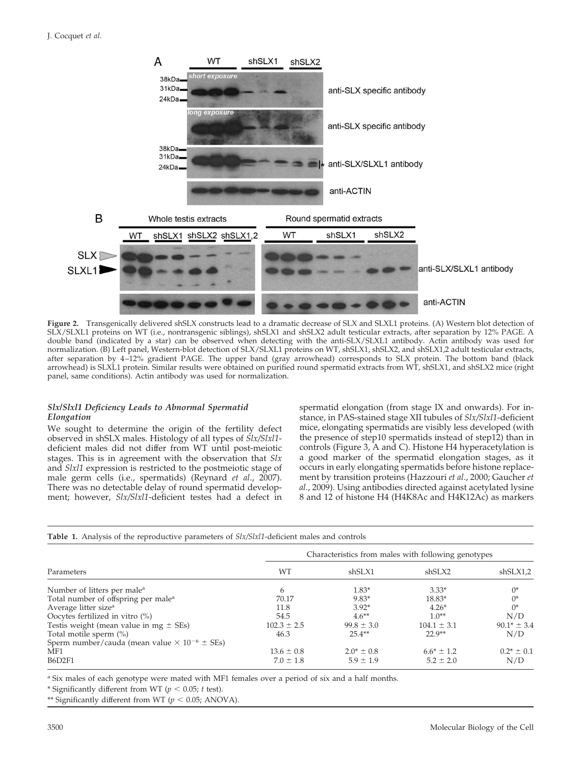

**Figure 2.** Transgenically delivered shSLX constructs lead to a dramatic decrease of SLX and SLXL1 proteins. (A) Western blot detection of SLX/SLXL1 proteins on WT (i.e., nontransgenic siblings), shSLX1 and shSLX2 adult testicular extracts, after separation by 12% PAGE. A double band (indicated by a star) can be observed when detecting with the anti-SLX/SLXL1 antibody. Actin antibody was used for normalization. (B) Left panel, Western-blot detection of SLX/SLXL1 proteins on WT, shSLX1, shSLX2, and shSLX1,2 adult testicular extracts, after separation by 4 –12% gradient PAGE. The upper band (gray arrowhead) corresponds to SLX protein. The bottom band (black arrowhead) is SLXL1 protein. Similar results were obtained on purified round spermatid extracts from WT, shSLX1, and shSLX2 mice (right panel, same conditions). Actin antibody was used for normalization.

#### *Slx/Slxl1 Deficiency Leads to Abnormal Spermatid Elongation*

We sought to determine the origin of the fertility defect observed in shSLX males. Histology of all types of *Slx/Slxl1* deficient males did not differ from WT until post-meiotic stages. This is in agreement with the observation that *Slx* and *Slxl1* expression is restricted to the postmeiotic stage of male germ cells (i.e., spermatids) (Reynard *et al*., 2007). There was no detectable delay of round spermatid development; however, *Slx/Slxl1*-deficient testes had a defect in

spermatid elongation (from stage IX and onwards). For instance, in PAS-stained stage XII tubules of *Slx/Slxl1*-deficient mice, elongating spermatids are visibly less developed (with the presence of step10 spermatids instead of step12) than in controls (Figure 3, A and C). Histone H4 hyperacetylation is a good marker of the spermatid elongation stages, as it occurs in early elongating spermatids before histone replacement by transition proteins (Hazzouri *et al*., 2000; Gaucher *et al*., 2009). Using antibodies directed against acetylated lysine 8 and 12 of histone H4 (H4K8Ac and H4K12Ac) as markers

| <b>Table 1.</b> Analysis of the reproductive parameters of <i>Slx/Slxl1</i> -deficient males and controls |                                                     |                 |                 |                 |
|-----------------------------------------------------------------------------------------------------------|-----------------------------------------------------|-----------------|-----------------|-----------------|
| Parameters                                                                                                | Characteristics from males with following genotypes |                 |                 |                 |
|                                                                                                           | WT                                                  | shSLX1          | shSLX2          | shSLX1,2        |
| Number of litters per male <sup>a</sup>                                                                   | 6                                                   | $1.83*$         | $3.33*$         | $0^*$           |
| Total number of offspring per male <sup>a</sup>                                                           | 70.17                                               | $9.83*$         | $18.83*$        | $0^*$           |
| Average litter size <sup>a</sup>                                                                          | 11.8                                                | $3.92*$         | $4.26*$         | $0^*$           |
| Oocytes fertilized in vitro $(\%)$                                                                        | 54.5                                                | $4.6***$        | $1.0**$         | N/D             |
| Testis weight (mean value in mg $\pm$ SEs)                                                                | $102.3 \pm 2.5$                                     | $99.8 \pm 3.0$  | $104.1 \pm 3.1$ | $90.1* \pm 3.4$ |
| Total motile sperm (%)                                                                                    | 46.3                                                | $25.4**$        | $22.9**$        | N/D             |
| Sperm number/cauda (mean value $\times$ 10 <sup>-6</sup> $\pm$ SEs)                                       |                                                     |                 |                 |                 |
| MF1                                                                                                       | $13.6 \pm 0.8$                                      | $2.0^* \pm 0.8$ | $6.6* \pm 1.2$  | $0.2^* \pm 0.1$ |
| <b>B6D2F1</b>                                                                                             | $7.0 \pm 1.8$                                       | $5.9 \pm 1.9$   | $5.2 \pm 2.0$   | N/D             |

<sup>a</sup> Six males of each genotype were mated with MF1 females over a period of six and a half months.

\* Significantly different from WT ( $p < 0.05$ ; *t* test).

\*\* Significantly different from WT ( $p < 0.05$ ; ANOVA).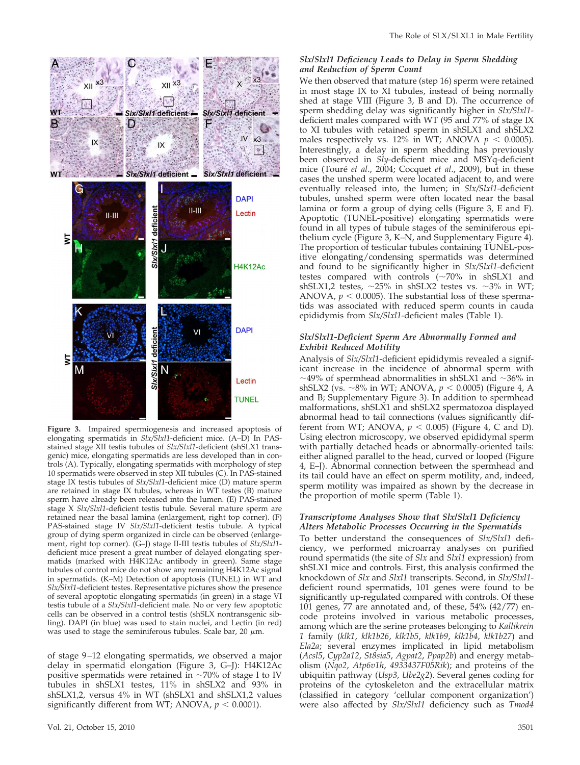

**Figure 3.** Impaired spermiogenesis and increased apoptosis of elongating spermatids in *Slx/Slxl1*-deficient mice. (A–D) In PASstained stage XII testis tubules of *Slx/Slxl1*-deficient (shSLX1 transgenic) mice, elongating spermatids are less developed than in controls (A). Typically, elongating spermatids with morphology of step 10 spermatids were observed in step XII tubules (C). In PAS-stained stage IX testis tubules of *Slx/Slxl1*-deficient mice (D) mature sperm are retained in stage IX tubules, whereas in WT testes (B) mature sperm have already been released into the lumen. (E) PAS-stained stage X *Slx/Slxl1*-deficient testis tubule. Several mature sperm are retained near the basal lamina (enlargement, right top corner). (F) PAS-stained stage IV *Slx/Slxl1*-deficient testis tubule. A typical group of dying sperm organized in circle can be observed (enlargement, right top corner). (G–J) stage II-III testis tubules of *Slx/Slxl1* deficient mice present a great number of delayed elongating spermatids (marked with H4K12Ac antibody in green). Same stage tubules of control mice do not show any remaining H4K12Ac signal in spermatids. (K–M) Detection of apoptosis (TUNEL) in WT and *Slx/Slxl1*-deficient testes. Representative pictures show the presence of several apoptotic elongating spermatids (in green) in a stage VI testis tubule of a *Slx/Slxl1*-deficient male. No or very few apoptotic cells can be observed in a control testis (shSLX nontransgenic sibling). DAPI (in blue) was used to stain nuclei, and Lectin (in red) was used to stage the seminiferous tubules. Scale bar, 20  $\mu$ m.

of stage 9 –12 elongating spermatids, we observed a major delay in spermatid elongation (Figure 3, G–J): H4K12Ac positive spermatids were retained in  $\sim$ 70% of stage I to IV tubules in shSLX1 testes, 11% in shSLX2 and 93% in shSLX1,2, versus 4% in WT (shSLX1 and shSLX1,2 values significantly different from WT; ANOVA,  $p < 0.0001$ ).

#### *Slx/Slxl1 Deficiency Leads to Delay in Sperm Shedding and Reduction of Sperm Count*

We then observed that mature (step 16) sperm were retained in most stage IX to XI tubules, instead of being normally shed at stage VIII (Figure 3, B and D). The occurrence of sperm shedding delay was significantly higher in *Slx/Slxl1* deficient males compared with WT (95 and 77% of stage IX to XI tubules with retained sperm in shSLX1 and shSLX2 males respectively vs. 12% in WT; ANOVA  $p < 0.0005$ ). Interestingly, a delay in sperm shedding has previously been observed in *Sly*-deficient mice and MSYq-deficient mice (Touré et al., 2004; Cocquet et al., 2009), but in these cases the unshed sperm were located adjacent to, and were eventually released into, the lumen; in *Slx/Slxl1*-deficient tubules, unshed sperm were often located near the basal lamina or form a group of dying cells (Figure 3, E and F). Apoptotic (TUNEL-positive) elongating spermatids were found in all types of tubule stages of the seminiferous epithelium cycle (Figure 3, K–N, and Supplementary Figure 4). The proportion of testicular tubules containing TUNEL-positive elongating/condensing spermatids was determined and found to be significantly higher in *Slx/Slxl1*-deficient testes compared with controls  $(-70\%$  in shSLX1 and shSLX1,2 testes,  $\sim$ 25% in shSLX2 testes vs.  $\sim$ 3% in WT; ANOVA,  $p < 0.0005$ ). The substantial loss of these spermatids was associated with reduced sperm counts in cauda epididymis from *Slx/Slxl1*-deficient males (Table 1).

#### *Slx/Slxl1-Deficient Sperm Are Abnormally Formed and Exhibit Reduced Motility*

Analysis of *Slx/Slxl1*-deficient epididymis revealed a significant increase in the incidence of abnormal sperm with  $\sim$ 49% of spermhead abnormalities in shSLX1 and  $\sim$ 36% in shSLX2 (vs. ~8% in WT; ANOVA,  $p < 0.0005$ ) (Figure 4, A and B; Supplementary Figure 3). In addition to spermhead malformations, shSLX1 and shSLX2 spermatozoa displayed abnormal head to tail connections (values significantly different from WT; ANOVA,  $p < 0.005$ ) (Figure 4, C and D). Using electron microscopy, we observed epididymal sperm with partially detached heads or abnormally-oriented tails: either aligned parallel to the head, curved or looped (Figure 4, E–J). Abnormal connection between the spermhead and its tail could have an effect on sperm motility, and, indeed, sperm motility was impaired as shown by the decrease in the proportion of motile sperm (Table 1).

#### *Transcriptome Analyses Show that Slx/Slxl1 Deficiency Alters Metabolic Processes Occurring in the Spermatids*

To better understand the consequences of *Slx/Slxl1* deficiency, we performed microarray analyses on purified round spermatids (the site of *Slx* and *Slxl1* expression) from shSLX1 mice and controls. First, this analysis confirmed the knockdown of *Slx* and *Slxl1* transcripts. Second, in *Slx/Slxl1* deficient round spermatids, 101 genes were found to be significantly up-regulated compared with controls. Of these 101 genes, 77 are annotated and, of these, 54% (42/77) encode proteins involved in various metabolic processes, among which are the serine proteases belonging to *Kallikrein 1* family (*klk1*, *klk1b26*, *klk1b5*, *klk1b9*, *klk1b4*, *klk1b27*) and *Ela2a*; several enzymes implicated in lipid metabolism (*Acsl5*, *Cyp2a12*, *St8sia5*, *Agpat2*, *Ppap2b*) and energy metabolism (*Nqo2*, *Atp6v1h*, *4933437F05Rik*); and proteins of the ubiquitin pathway (*Usp3*, *Ube2g2*). Several genes coding for proteins of the cytoskeleton and the extracellular matrix (classified in category 'cellular component organization') were also affected by *Slx/Slxl1* deficiency such as *Tmod4*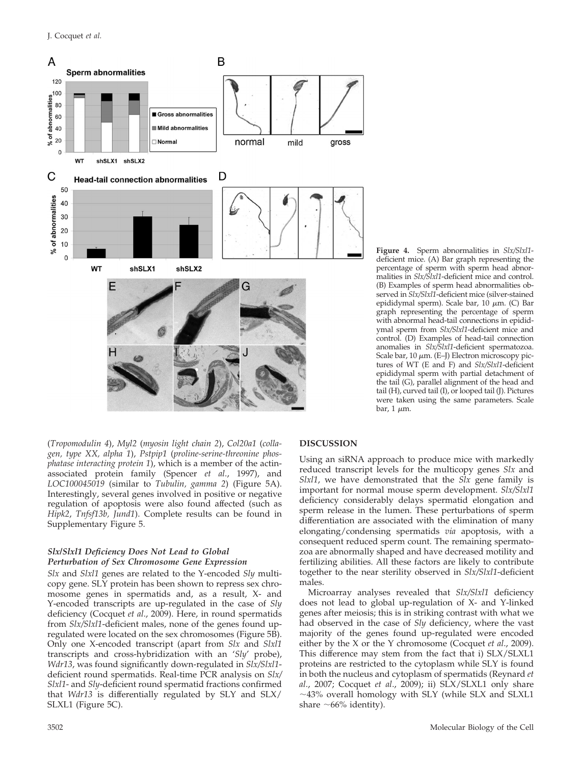

**Figure 4.** Sperm abnormalities in *Slx/Slxl1* deficient mice. (A) Bar graph representing the percentage of sperm with sperm head abnormalities in *Slx/Slxl1*-deficient mice and control. (B) Examples of sperm head abnormalities observed in *Slx/Slxl1*-deficient mice (silver-stained epididymal sperm). Scale bar, 10  $\mu$ m. (C) Bar graph representing the percentage of sperm with abnormal head-tail connections in epididymal sperm from *Slx/Slxl1*-deficient mice and control. (D) Examples of head-tail connection anomalies in *Slx/Slxl1*-deficient spermatozoa. Scale bar,  $10 \mu m$ . (E-J) Electron microscopy pictures of WT (E and F) and *Slx/Slxl1*-deficient epididymal sperm with partial detachment of the tail (G), parallel alignment of the head and tail (H), curved tail (I), or looped tail (J). Pictures were taken using the same parameters. Scale bar,  $1 \mu m$ .

(*Tropomodulin 4*), *Myl2* (*myosin light chain 2*), *Col20a1* (*collagen, type XX, alpha 1*), *Pstpip1* (*proline-serine-threonine phosphatase interacting protein 1*), which is a member of the actinassociated protein family (Spencer *et al*., 1997), and *LOC100045019* (similar to *Tubulin, gamma 2*) (Figure 5A). Interestingly, several genes involved in positive or negative regulation of apoptosis were also found affected (such as *Hipk2*, *Tnfsf13b, Jund1*). Complete results can be found in Supplementary Figure 5.

#### *Slx/Slxl1 Deficiency Does Not Lead to Global Perturbation of Sex Chromosome Gene Expression*

*Slx* and *Slxl1* genes are related to the Y-encoded *Sly* multicopy gene. SLY protein has been shown to repress sex chromosome genes in spermatids and, as a result, X- and Y-encoded transcripts are up-regulated in the case of *Sly* deficiency (Cocquet *et al*., 2009). Here, in round spermatids from *Slx/Slxl1*-deficient males, none of the genes found upregulated were located on the sex chromosomes (Figure 5B). Only one X-encoded transcript (apart from *Slx* and *Slxl1* transcripts and cross-hybridization with an '*Sly*' probe), *Wdr13*, was found significantly down-regulated in *Slx/Slxl1* deficient round spermatids. Real-time PCR analysis on *Slx/ Slxl1*- and *Sly*-deficient round spermatid fractions confirmed that *Wdr13* is differentially regulated by SLY and SLX/ SLXL1 (Figure 5C).

#### **DISCUSSION**

Using an siRNA approach to produce mice with markedly reduced transcript levels for the multicopy genes *Slx* and *Slxl1*, we have demonstrated that the *Slx* gene family is important for normal mouse sperm development. *Slx/Slxl1* deficiency considerably delays spermatid elongation and sperm release in the lumen. These perturbations of sperm differentiation are associated with the elimination of many elongating/condensing spermatids *via* apoptosis, with a consequent reduced sperm count. The remaining spermatozoa are abnormally shaped and have decreased motility and fertilizing abilities. All these factors are likely to contribute together to the near sterility observed in *Slx/Slxl1*-deficient males.

Microarray analyses revealed that *Slx/Slxl1* deficiency does not lead to global up-regulation of X- and Y-linked genes after meiosis; this is in striking contrast with what we had observed in the case of *Sly* deficiency, where the vast majority of the genes found up-regulated were encoded either by the X or the Y chromosome (Cocquet *et al*., 2009). This difference may stem from the fact that i) SLX/SLXL1 proteins are restricted to the cytoplasm while SLY is found in both the nucleus and cytoplasm of spermatids (Reynard *et al*., 2007; Cocquet *et al*., 2009); ii) SLX/SLXL1 only share -43% overall homology with SLY (while SLX and SLXL1 share  $~66\%$  identity).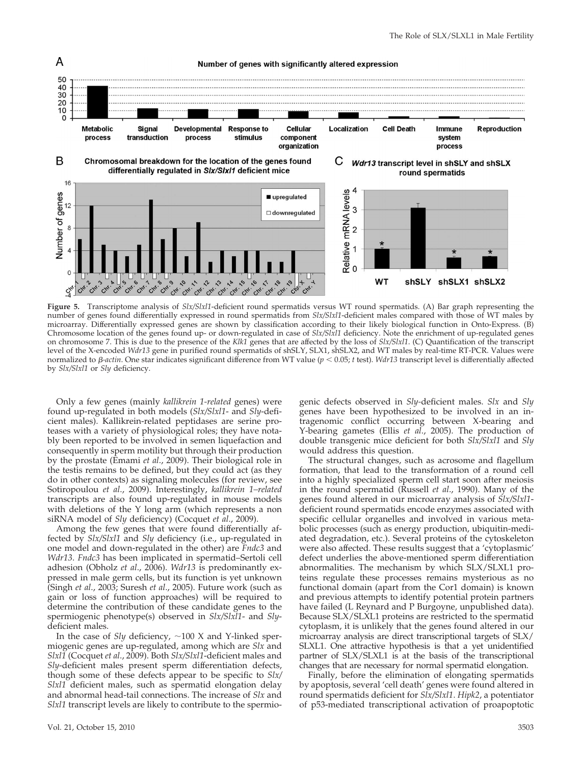

**Figure 5.** Transcriptome analysis of *Slx/Slxl1*-deficient round spermatids versus WT round spermatids. (A) Bar graph representing the number of genes found differentially expressed in round spermatids from *Slx/Slxl1*-deficient males compared with those of WT males by microarray. Differentially expressed genes are shown by classification according to their likely biological function in Onto-Express. (B) Chromosome location of the genes found up- or down-regulated in case of *Slx/Slxl1* deficiency. Note the enrichment of up-regulated genes on chromosome 7. This is due to the presence of the *Klk1* genes that are affected by the loss of *Slx/Slxl1*. (C) Quantification of the transcript level of the X-encoded *Wdr13* gene in purified round spermatids of shSLY, SLX1, shSLX2, and WT males by real-time RT-PCR. Values were normalized to  $\beta$ -*actin*. One star indicates significant difference from WT value ( $p < 0.05$ ; *t* test). *Wdr13* transcript level is differentially affected by *Slx/Slxl1* or *Sly* deficiency.

Only a few genes (mainly *kallikrein 1-related* genes) were found up-regulated in both models (*Slx/Slxl1*- and *Sly*-deficient males). Kallikrein-related peptidases are serine proteases with a variety of physiological roles; they have notably been reported to be involved in semen liquefaction and consequently in sperm motility but through their production by the prostate (Emami *et al*., 2009). Their biological role in the testis remains to be defined, but they could act (as they do in other contexts) as signaling molecules (for review, see Sotiropoulou *et al*., 2009). Interestingly, *kallikrein 1–related* transcripts are also found up-regulated in mouse models with deletions of the Y long arm (which represents a non siRNA model of *Sly* deficiency) (Cocquet *et al*., 2009).

Among the few genes that were found differentially affected by *Slx/Slxl1* and *Sly* deficiency (i.e., up-regulated in one model and down-regulated in the other) are *Fndc3* and *Wdr13*. *Fndc3* has been implicated in spermatid–Sertoli cell adhesion (Obholz *et al*., 2006). *Wdr13* is predominantly expressed in male germ cells, but its function is yet unknown (Singh *et al*., 2003; Suresh *et al*., 2005). Future work (such as gain or loss of function approaches) will be required to determine the contribution of these candidate genes to the spermiogenic phenotype(s) observed in *Slx/Slxl1*- and *Sly*deficient males.

In the case of  $Sly$  deficiency,  $\sim$  100 X and Y-linked spermiogenic genes are up-regulated, among which are *Slx* and *Slxl1* (Cocquet *et al*., 2009). Both *Slx/Slxl1*-deficient males and *Sly*-deficient males present sperm differentiation defects, though some of these defects appear to be specific to *Slx/ Slxl1* deficient males, such as spermatid elongation delay and abnormal head-tail connections. The increase of *Slx* and *Slxl1* transcript levels are likely to contribute to the spermiogenic defects observed in *Sly-*deficient males. *Slx* and *Sly* genes have been hypothesized to be involved in an intragenomic conflict occurring between X-bearing and Y-bearing gametes (Ellis *et al*., 2005). The production of double transgenic mice deficient for both *Slx/Slxl1* and *Sly* would address this question.

The structural changes, such as acrosome and flagellum formation, that lead to the transformation of a round cell into a highly specialized sperm cell start soon after meiosis in the round spermatid (Russell *et al*., 1990). Many of the genes found altered in our microarray analysis of *Slx/Slxl1* deficient round spermatids encode enzymes associated with specific cellular organelles and involved in various metabolic processes (such as energy production, ubiquitin-mediated degradation, etc.). Several proteins of the cytoskeleton were also affected. These results suggest that a 'cytoplasmic' defect underlies the above-mentioned sperm differentiation abnormalities. The mechanism by which SLX/SLXL1 proteins regulate these processes remains mysterious as no functional domain (apart from the Cor1 domain) is known and previous attempts to identify potential protein partners have failed (L Reynard and P Burgoyne, unpublished data). Because SLX/SLXL1 proteins are restricted to the spermatid cytoplasm, it is unlikely that the genes found altered in our microarray analysis are direct transcriptional targets of SLX/ SLXL1. One attractive hypothesis is that a yet unidentified partner of SLX/SLXL1 is at the basis of the transcriptional changes that are necessary for normal spermatid elongation.

Finally, before the elimination of elongating spermatids by apoptosis, several 'cell death' genes were found altered in round spermatids deficient for *Slx/Slxl1*. *Hipk2*, a potentiator of p53-mediated transcriptional activation of proapoptotic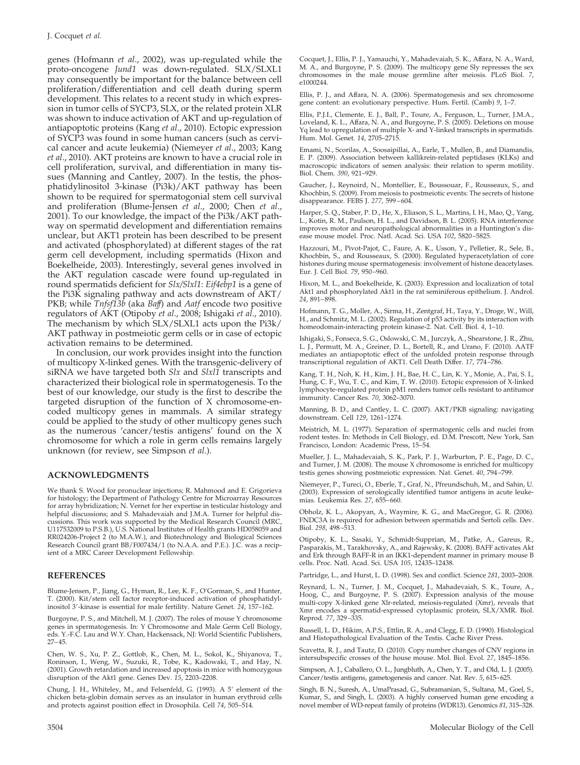genes (Hofmann *et al*., 2002), was up-regulated while the proto-oncogene *Jund1* was down-regulated. SLX/SLXL1 may consequently be important for the balance between cell proliferation/differentiation and cell death during sperm development. This relates to a recent study in which expression in tumor cells of SYCP3, SLX, or the related protein XLR was shown to induce activation of AKT and up-regulation of antiapoptotic proteins (Kang *et al*., 2010). Ectopic expression of SYCP3 was found in some human cancers (such as cervical cancer and acute leukemia) (Niemeyer *et al*., 2003; Kang *et al*., 2010). AKT proteins are known to have a crucial role in cell proliferation, survival, and differentiation in many tissues (Manning and Cantley, 2007). In the testis, the phosphatidylinositol 3-kinase (Pi3k)/AKT pathway has been shown to be required for spermatogonial stem cell survival and proliferation (Blume-Jensen *et al*., 2000; Chen *et al*., 2001). To our knowledge, the impact of the Pi3k/AKT pathway on spermatid development and differentiation remains unclear, but AKT1 protein has been described to be present and activated (phosphorylated) at different stages of the rat germ cell development, including spermatids (Hixon and Boekelheide, 2003). Interestingly, several genes involved in the AKT regulation cascade were found up-regulated in round spermatids deficient for *Slx/Slxl1*: *Eif4ebp1* is a gene of the Pi3K signaling pathway and acts downstream of AKT/ PKB; while *Tnfsf13b* (aka *Baff*) and *Aatf* encode two positive regulators of AKT (Otipoby *et al*., 2008; Ishigaki *et al*., 2010). The mechanism by which SLX/SLXL1 acts upon the Pi3k/ AKT pathway in postmeiotic germ cells or in case of ectopic activation remains to be determined.

In conclusion, our work provides insight into the function of multicopy X-linked genes. With the transgenic-delivery of siRNA we have targeted both *Slx* and *Slxl1* transcripts and characterized their biological role in spermatogenesis. To the best of our knowledge, our study is the first to describe the targeted disruption of the function of X chromosome-encoded multicopy genes in mammals. A similar strategy could be applied to the study of other multicopy genes such as the numerous 'cancer/testis antigens' found on the X chromosome for which a role in germ cells remains largely unknown (for review, see Simpson *et al*.).

#### **ACKNOWLEDGMENTS**

We thank S. Wood for pronuclear injections; R. Mahmood and E. Grigorieva for histology; the Department of Pathology Centre for Microarray Resources for array hybridization; N. Vernet for her expertise in testicular histology and helpful discussions; and S. Mahadevaiah and J.M.A. Turner for helpful discussions. This work was supported by the Medical Research Council (MRC, U117532009 to P.S.B.), U.S. National Institutes of Health grants HD058059 and RR024206-Project 2 (to M.A.W.), and Biotechnology and Biological Sciences Research Council grant BB/F007434/1 (to N.A.A. and P.E.). J.C. was a recipient of a MRC Career Development Fellowship.

#### **REFERENCES**

Blume-Jensen, P., Jiang, G., Hyman, R., Lee, K. F., O'Gorman, S., and Hunter, T. (2000). Kit/stem cell factor receptor-induced activation of phosphatidylinositol 3 -kinase is essential for male fertility. Nature Genet. *24*, 157–162.

Burgoyne, P. S., and Mitchell, M. J. (2007). The roles of mouse Y chromosome genes in spermatogenesis. In: Y Chromosome and Male Germ Cell Biology, eds. Y.-F.C. Lau and W.Y. Chan, Hackensack, NJ: World Scientific Publishers, 27– 45.

Chen, W. S., Xu, P. Z., Gottlob, K., Chen, M. L., Sokol, K., Shiyanova, T., Roninson, I., Weng, W., Suzuki, R., Tobe, K., Kadowaki, T., and Hay, N. (2001). Growth retardation and increased apoptosis in mice with homozygous disruption of the Akt1 gene. Genes Dev. *15*, 2203–2208.

Chung, J. H., Whiteley, M., and Felsenfeld, G. (1993). A 5' element of the chicken beta-globin domain serves as an insulator in human erythroid cells and protects against position effect in Drosophila. Cell *74*, 505–514.

Cocquet, J., Ellis, P. J., Yamauchi, Y., Mahadevaiah, S. K., Affara, N. A., Ward, M. A., and Burgoyne, P. S. (2009). The multicopy gene Sly represses the sex chromosomes in the male mouse germline after meiosis. PLoS Biol. *7*, e1000244

Ellis, P. J., and Affara, N. A. (2006). Spermatogenesis and sex chromosome gene content: an evolutionary perspective. Hum. Fertil. (Camb) *9*, 1–7.

Ellis, P.J.I., Clemente, E. J., Ball, P., Toure, A., Ferguson, L., Turner, J.M.A., Loveland, K. L., Affara, N. A., and Burgoyne, P. S. (2005). Deletions on mouse Yq lead to upregulation of multiple X- and Y-linked transcripts in spermatids. Hum. Mol. Genet. *14*, 2705–2715.

Emami, N., Scorilas, A., Soosaipillai, A., Earle, T., Mullen, B., and Diamandis, E. P. (2009). Association between kallikrein-related peptidases (KLKs) and macroscopic indicators of semen analysis: their relation to sperm motility. Biol. Chem. *390*, 921–929.

Gaucher, J., Reynoird, N., Montellier, E., Boussouar, F., Rousseaux, S., and Khochbin, S. (2009). From meiosis to postmeiotic events: The secrets of histone disappearance. FEBS J. *277*, 599 – 604.

Harper, S. Q., Staber, P. D., He, X., Eliason, S. L., Martins, I. H., Mao, Q., Yang, L., Kotin, R. M., Paulson, H. L., and Davidson, B. L. (2005). RNA interference improves motor and neuropathological abnormalities in a Huntington's disease mouse model. Proc. Natl. Acad. Sci. USA *102*, 5820 –5825.

Hazzouri, M., Pivot-Pajot, C., Faure, A. K., Usson, Y., Pelletier, R., Sele, B., Khochbin, S., and Rousseaux, S. (2000). Regulated hyperacetylation of core histones during mouse spermatogenesis: involvement of histone deacetylases. Eur. J. Cell Biol. *79*, 950 –960.

Hixon, M. L., and Boekelheide, K. (2003). Expression and localization of total Akt1 and phosphorylated Akt1 in the rat seminiferous epithelium. J. Androl. *24*, 891– 898.

Hofmann, T. G., Moller, A., Sirma, H., Zentgraf, H., Taya, Y., Droge, W., Will, H., and Schmitz, M. L. (2002). Regulation of p53 activity by its interaction with homeodomain-interacting protein kinase-2. Nat. Cell. Biol. *4*, 1–10.

Ishigaki, S., Fonseca, S. G., Oslowski, C. M., Jurczyk, A., Shearstone, J. R., Zhu, L. J., Permutt, M. A., Greiner, D. L., Bortell, R., and Urano, F. (2010). AATF mediates an antiapoptotic effect of the unfolded protein response through transcriptional regulation of AKT1. Cell Death Differ. *17*, 774 –786.

Kang, T. H., Noh, K. H., Kim, J. H., Bae, H. C., Lin, K. Y., Monie, A., Pai, S. I., Hung, C. F., Wu, T. C., and Kim, T. W. (2010). Ectopic expression of X-linked lymphocyte-regulated protein pM1 renders tumor cells resistant to antitumor immunity. Cancer Res. *70*, 3062–3070.

Manning, B. D., and Cantley, L. C. (2007). AKT/PKB signaling: navigating downstream. Cell *129*, 1261–1274.

Meistrich, M. L. (1977). Separation of spermatogenic cells and nuclei from rodent testes. In: Methods in Cell Biology, ed. D.M. Prescott, New York, San Francisco, London: Academic Press, 15–54.

Mueller, J. L., Mahadevaiah, S. K., Park, P. J., Warburton, P. E., Page, D. C., and Turner, J. M. (2008). The mouse X chromosome is enriched for multicopy testis genes showing postmeiotic expression. Nat. Genet. *40*, 794 –799.

Niemeyer, P., Tureci, O., Eberle, T., Graf, N., Pfreundschuh, M., and Sahin, U. (2003). Expression of serologically identified tumor antigens in acute leukemias. Leukemia Res. *27*, 655– 660.

Obholz, K. L., Akopyan, A., Waymire, K. G., and MacGregor, G. R. (2006). FNDC3A is required for adhesion between spermatids and Sertoli cells. Dev. Biol. *298*, 498 –513.

Otipoby, K. L., Sasaki, Y., Schmidt-Supprian, M., Patke, A., Gareus, R., Pasparakis, M., Tarakhovsky, A., and Rajewsky, K. (2008). BAFF activates Akt and Erk through BAFF-R in an IKK1-dependent manner in primary mouse B cells. Proc. Natl. Acad. Sci. USA *105*, 12435–12438.

Partridge, L., and Hurst, L. D. (1998). Sex and conflict. Science *281*, 2003–2008.

Reynard, L. N., Turner, J. M., Cocquet, J., Mahadevaiah, S. K., Toure, A., Hoog, C., and Burgoyne, P. S. (2007). Expression analysis of the mouse multi-copy X-linked gene Xlr-related, meiosis-regulated (Xmr), reveals that Xmr encodes a spermatid-expressed cytoplasmic protein, SLX/XMR. Biol. Reprod. *77*, 329 –335.

Russell, L. D., Hikim, A.P.S., Ettlin, R. A., and Clegg, E. D. (1990). Histological and Histopathological Evaluation of the Testis. Cache River Press.

Scavetta, R. J., and Tautz, D. (2010). Copy number changes of CNV regions in intersubspecific crosses of the house mouse. Mol. Biol. Evol. *27*, 1845–1856.

Simpson, A. J., Caballero, O. L., Jungbluth, A., Chen, Y. T., and Old, L. J. (2005). Cancer/testis antigens, gametogenesis and cancer. Nat. Rev. 5, 615-625.

Singh, B. N., Suresh, A., UmaPrasad, G., Subramanian, S., Sultana, M., Goel, S., Kumar, S., and Singh, L. (2003). A highly conserved human gene encoding a novel member of WD-repeat family of proteins (WDR13). Genomics *81*, 315–328.